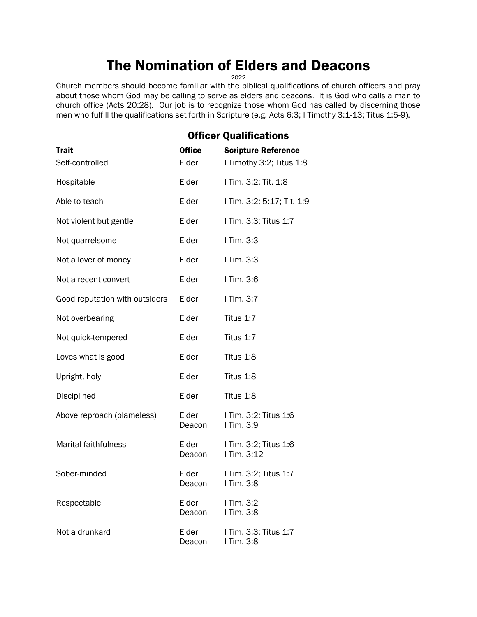# The Nomination of Elders and Deacons

2022

Church members should become familiar with the biblical qualifications of church officers and pray about those whom God may be calling to serve as elders and deacons. It is God who calls a man to church office (Acts 20:28). Our job is to recognize those whom God has called by discerning those men who fulfill the qualifications set forth in Scripture (e.g. Acts 6:3; I Timothy 3:1-13; Titus 1:5-9).

|                                | <b>Officer Qualifications</b> |                                      |  |
|--------------------------------|-------------------------------|--------------------------------------|--|
| <b>Trait</b>                   | <b>Office</b>                 | <b>Scripture Reference</b>           |  |
| Self-controlled                | Elder                         | I Timothy 3:2; Titus 1:8             |  |
| Hospitable                     | Elder                         | I Tim. 3:2; Tit. 1:8                 |  |
| Able to teach                  | Elder                         | I Tim. 3:2; 5:17; Tit. 1:9           |  |
| Not violent but gentle         | Elder                         | I Tim. 3:3; Titus 1:7                |  |
| Not quarrelsome                | Elder                         | I Tim. 3:3                           |  |
| Not a lover of money           | Elder                         | I Tim. 3:3                           |  |
| Not a recent convert           | Elder                         | I Tim. 3:6                           |  |
| Good reputation with outsiders | Elder                         | I Tim. 3:7                           |  |
| Not overbearing                | Elder                         | Titus 1:7                            |  |
| Not quick-tempered             | Elder                         | Titus 1:7                            |  |
| Loves what is good             | Elder                         | Titus 1:8                            |  |
| Upright, holy                  | Elder                         | Titus 1:8                            |  |
| Disciplined                    | Elder                         | Titus 1:8                            |  |
| Above reproach (blameless)     | Elder<br>Deacon               | I Tim. 3:2; Titus 1:6<br>I Tim. 3:9  |  |
| <b>Marital faithfulness</b>    | Elder<br>Deacon               | I Tim. 3:2; Titus 1:6<br>I Tim. 3:12 |  |
| Sober-minded                   | Elder<br>Deacon               | I Tim. 3:2; Titus 1:7<br>I Tim. 3:8  |  |
| Respectable                    | Elder<br>Deacon               | I Tim. 3:2<br>I Tim. 3:8             |  |
| Not a drunkard                 | Elder<br>Deacon               | I Tim. 3:3; Titus 1:7<br>I Tim. 3:8  |  |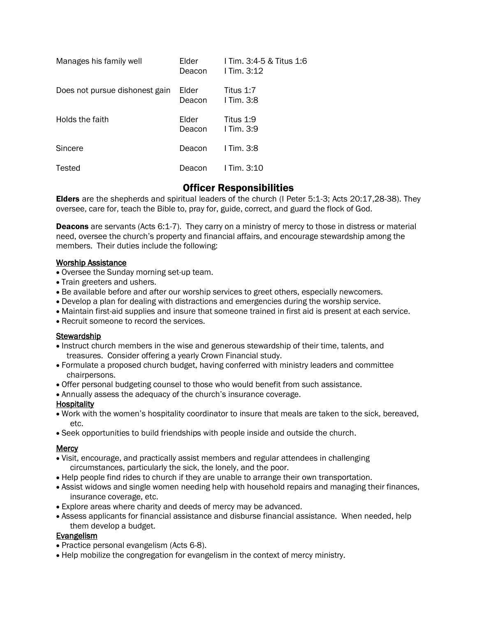| Manages his family well        | Elder<br>Deacon | 1 Tim. 3:4-5 & Titus 1:6<br>I Tim. $3:12$ |
|--------------------------------|-----------------|-------------------------------------------|
| Does not pursue dishonest gain | Elder<br>Deacon | Titus 1:7<br>$I$ Tim. 3:8                 |
| Holds the faith                | Elder<br>Deacon | Titus 1:9<br>$I$ Tim. 3:9                 |
| Sincere                        | Deacon          | $I$ Tim. 3:8                              |
| Tested                         | Deacon          | $1$ Tim. $3:10$                           |

# Officer Responsibilities

Elders are the shepherds and spiritual leaders of the church (I Peter 5:1-3; Acts 20:17,28-38). They oversee, care for, teach the Bible to, pray for, guide, correct, and guard the flock of God.

**Deacons** are servants (Acts 6:1-7). They carry on a ministry of mercy to those in distress or material need, oversee the church's property and financial affairs, and encourage stewardship among the members. Their duties include the following:

#### Worship Assistance

- Oversee the Sunday morning set-up team.
- Train greeters and ushers.
- Be available before and after our worship services to greet others, especially newcomers.
- Develop a plan for dealing with distractions and emergencies during the worship service.
- Maintain first-aid supplies and insure that someone trained in first aid is present at each service.
- Recruit someone to record the services.

#### **Stewardship**

- Instruct church members in the wise and generous stewardship of their time, talents, and treasures. Consider offering a yearly Crown Financial study.
- Formulate a proposed church budget, having conferred with ministry leaders and committee chairpersons.
- Offer personal budgeting counsel to those who would benefit from such assistance.
- Annually assess the adequacy of the church's insurance coverage.

## **Hospitality**

- Work with the women's hospitality coordinator to insure that meals are taken to the sick, bereaved, etc.
- Seek opportunities to build friendships with people inside and outside the church.

## **Mercy**

- Visit, encourage, and practically assist members and regular attendees in challenging circumstances, particularly the sick, the lonely, and the poor.
- Help people find rides to church if they are unable to arrange their own transportation.
- Assist widows and single women needing help with household repairs and managing their finances, insurance coverage, etc.
- Explore areas where charity and deeds of mercy may be advanced.
- Assess applicants for financial assistance and disburse financial assistance. When needed, help them develop a budget.

## **Evangelism**

- Practice personal evangelism (Acts 6-8).
- Help mobilize the congregation for evangelism in the context of mercy ministry.